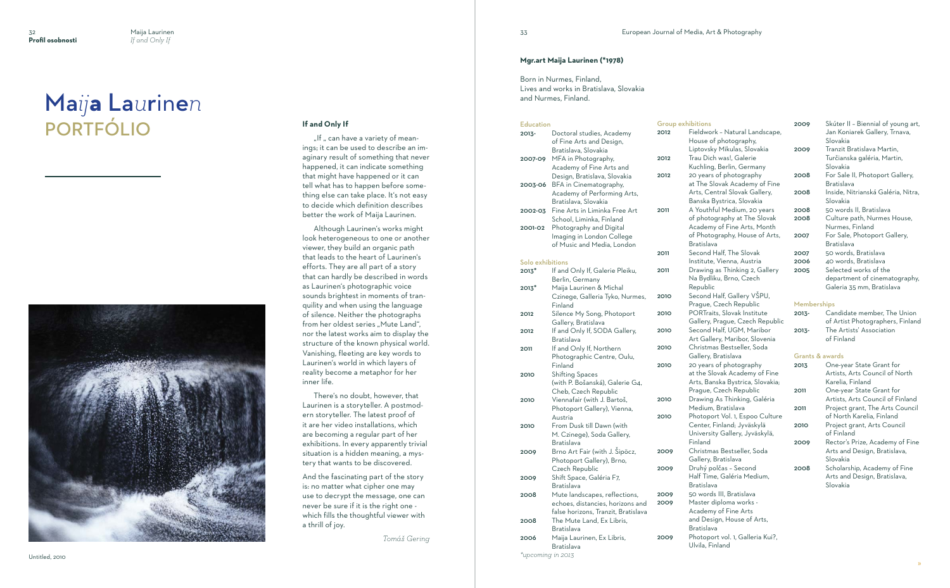## **If and Only If**

"If " can have a variety of meanings; it can be used to describe an im aginary result of something that never happened, it can indicate something that might have happened or it can tell what has to happen before some thing else can take place. It's not easy to decide which definition describes better the work of Maija Laurinen.

Although Laurinen's works might look heterogeneous to one or another viewer, they build an organic path that leads to the heart of Laurinen's efforts. They are all part of a story that can hardly be described in words as Laurinen's photographic voice sounds brightest in moments of tran quility and when using the language of silence. Neither the photographs from her oldest series "Mute Land", nor the latest works aim to display the structure of the known physical world. Vanishing, fleeting are key words to Laurinen's world in which layers of reality become a metaphor for her inner life.

# Maija Laurinen PORTFÓLIO



There's no doubt, however, that Laurinen is a storyteller. A postmod ern storyteller. The latest proof of it are her video installations, which are becoming a regular part of her exhibitions. In every apparently trivial situation is a hidden meaning, a mys tery that wants to be discovered.

And the fascinating part of the story is: no matter what cipher one may use to decrypt the message, one can never be sure if it is the right one which fills the thoughtful viewer with a thrill of joy.

*Tomá š Gering*

## **Mgr.art Maija Laurinen (\*1978)**

Born in Nurmes, Finland, Lives and works in Bratislava, Slovakia and Nurmes, Finland.

### Education

| <b>Education</b>  |                                                                                | Group exhibitions |                                                                                     |
|-------------------|--------------------------------------------------------------------------------|-------------------|-------------------------------------------------------------------------------------|
| 2013-             | Doctoral studies, Academy<br>of Fine Arts and Design,<br>Bratislava, Slovakia  | 2012              | Fieldwork - Natural Landsca<br>House of photography,<br>Liptovsky Mikulas, Slovakia |
| 2007-09           | MFA in Photography,<br>Academy of Fine Arts and                                | 2012              | Trau Dich was!, Galerie<br>Kuchling, Berlin, Germany                                |
| 2003-06           | Design, Bratislava, Slovakia<br>BFA in Cinematography,                         | 2012              | 20 years of photography<br>at The Slovak Academy of F                               |
|                   | Academy of Performing Arts,                                                    |                   | Arts, Central Slovak Gallery<br>Banska Bystrica, Slovakia                           |
| 2002-03           | Bratislava, Slovakia<br>Fine Arts in Liminka Free Art                          | 2011              | A Youthful Medium, 20 year                                                          |
| 2001-02           | School, Liminka, Finland<br>Photography and Digital                            |                   | of photography at The Slova<br>Academy of Fine Arts, Mont                           |
|                   | Imaging in London College                                                      |                   | of Photography, House of A                                                          |
|                   | of Music and Media, London                                                     | 2011              | Bratislava<br>Second Half, The Slovak                                               |
| Solo exhibitions  |                                                                                |                   | Institute, Vienna, Austria                                                          |
| 2013*             | If and Only If, Galerie Pleiku,<br>Berlin, Germany                             | 2011              | Drawing as Thinking 2, Galle<br>Na Bydliku, Brno, Czech                             |
| 2013*             | Maija Laurinen & Michal                                                        |                   | Republic                                                                            |
|                   | Czinege, Galleria Tyko, Nurmes,<br>Finland                                     | 2010              | Second Half, Gallery VŠPU,<br>Prague, Czech Republic                                |
| 2012              | Silence My Song, Photoport<br>Gallery, Bratislava                              | 2010              | PORTraits, Slovak Institute<br>Gallery, Prague, Czech Repu                          |
| 2012              | If and Only If, SODA Gallery,<br>Bratislava                                    | 2010              | Second Half, UGM, Maribor<br>Art Gallery, Maribor, Sloven                           |
| 2011              | If and Only If, Northern<br>Photographic Centre, Oulu,                         | 2010              | Christmas Bestseller, Soda<br>Gallery, Bratislava                                   |
|                   | Finland                                                                        | 2010              | 20 years of photography                                                             |
| 2010              | <b>Shifting Spaces</b>                                                         |                   | at the Slovak Academy of Fi                                                         |
|                   | (with P. Bošanská), Galerie G4,<br>Cheb, Czech Republic                        |                   | Arts, Banska Bystrica, Sloval<br>Prague, Czech Republic                             |
| 2010              | Viennafair (with J. Bartoš,<br>Photoport Gallery), Vienna,                     | 2010              | Drawing As Thinking, Galéri<br>Medium, Bratislava                                   |
|                   | Austria                                                                        | 2010              | Photoport Vol. 1, Espoo Cult                                                        |
| 2010              | From Dusk till Dawn (with                                                      |                   | Center, Finland; Jyväskylä                                                          |
|                   | M. Czinege), Soda Gallery,<br>Bratislava                                       |                   | University Gallery, Jyväskylä<br>Finland                                            |
| 2009              | Brno Art Fair (with J. Sipöcz,<br>Photoport Gallery), Brno,                    | 2009              | Christmas Bestseller, Soda<br>Gallery, Bratislava                                   |
|                   | Czech Republic                                                                 | 2009              | Druhý polčas - Second                                                               |
| 2009              | Shift Space, Galéria F7,<br>Bratislava                                         |                   | Half Time, Galéria Medium,<br>Bratislava                                            |
| 2008              | Mute landscapes, reflections,                                                  | 2009              | 50 words III, Bratislava                                                            |
|                   | echoes, distancies, horizons and                                               | 2009              | Master diploma works -                                                              |
| 2008              | false horizons, Tranzit, Bratislava<br>The Mute Land, Ex Libris,<br>Bratislava |                   | Academy of Fine Arts<br>and Design, House of Arts,<br>Bratislava                    |
| 2006              | Maija Laurinen, Ex Libris,<br>Bratislava                                       | 2009              | Photoport vol. 1, Galleria Ku<br>Ulvila, Finland                                    |
| *upcoming in 2013 |                                                                                |                   |                                                                                     |

| <u>UIUUN GAIIINILIUIIS</u> |                                |
|----------------------------|--------------------------------|
| 2012                       | Fieldwork - Natural Landscape, |
|                            | House of photography,          |
|                            | Liptovsky Mikulas, Slovakia    |
| 2012                       | Trau Dich was!, Galerie        |
|                            | Kuchling, Berlin, Germany      |
| 2012                       | 20 years of photography        |
|                            | at The Slovak Academy of Fine  |
|                            | Arts, Central Slovak Gallery,  |
|                            | Banska Bystrica, Slovakia      |
| 2011                       | A Youthful Medium, 20 years    |
|                            | of photography at The Slovak   |
|                            | Academy of Fine Arts, Month    |
|                            | of Photography, House of Arts, |
|                            | n                              |

d Half, The Slovak te, Vienna, Austria ng as Thinking 2, Gallery dliku, Brno, Czech

e, Czech Republic aits, Slovak Institute , Prague, Czech Republic .<br>d Half, UGM, Maribor **Ilery, Maribor, Slovenia** nas Bestseller, Soda y, Bratislava rs of photography Slovak Academy of Fine anska Bystrica, Slovakia: e, Czech Republic ng As Thinking, Galéria m, Bratislava 2010 Photoport Vol. 1, Espoo Culture . Finland; Jyväskylä sity Gallery, Jyväskylä,

oort vol. 1, Galleria Kui?, Finland

| 2009 | Skúter II - Biennial of young art,<br>Jan Koniarek Gallery, Trnava, |
|------|---------------------------------------------------------------------|
|      | Slovakia                                                            |
| 2009 | Tranzit Bratislava Martin,                                          |
|      | Turčianska galéria, Martin,                                         |
|      | Slovakia                                                            |
| 2008 | For Sale II, Photoport Gallery,                                     |
|      | Bratislava                                                          |
| 2008 | Inside, Nitrianská Galéria, Nitra,                                  |
|      | Slovakia                                                            |
| 2008 | 50 words II, Bratislava                                             |
| 2008 | Culture path, Nurmes House,                                         |
|      | Nurmes, Finland                                                     |
| 2007 | For Sale, Photoport Gallery,                                        |
|      | Bratislava                                                          |
| 2007 | 50 words, Bratislava                                                |
| 2006 | 40 words, Bratislava                                                |
| 2005 | Selected works of the                                               |
|      | department of cinematography,                                       |
|      | Galeria 35 mm, Bratislava                                           |

### Memberships

| $2013 -$ | Candidate member. The Union      |
|----------|----------------------------------|
|          | of Artist Photographers, Finland |
| $2013 -$ | The Artists' Association         |
|          | of Finland                       |

## Grants & awards

| 2013 | One-year State Grant for         |
|------|----------------------------------|
|      | Artists, Arts Council of North   |
|      | Karelia, Finland                 |
| 2011 | One-year State Grant for         |
|      | Artists, Arts Council of Finland |
| 2011 | Project grant, The Arts Council  |
|      | of North Karelia. Finland        |
| 2010 | Project grant, Arts Council      |
|      | of Finland                       |
| 2009 | Rector's Prize, Academy of Fine  |
|      | Arts and Design, Bratislava,     |
|      | Slovakia                         |
| 2008 | Scholarship, Academy of Fine     |
|      | Arts and Design, Bratislava,     |
|      | Slovakia                         |

Untitled, 2010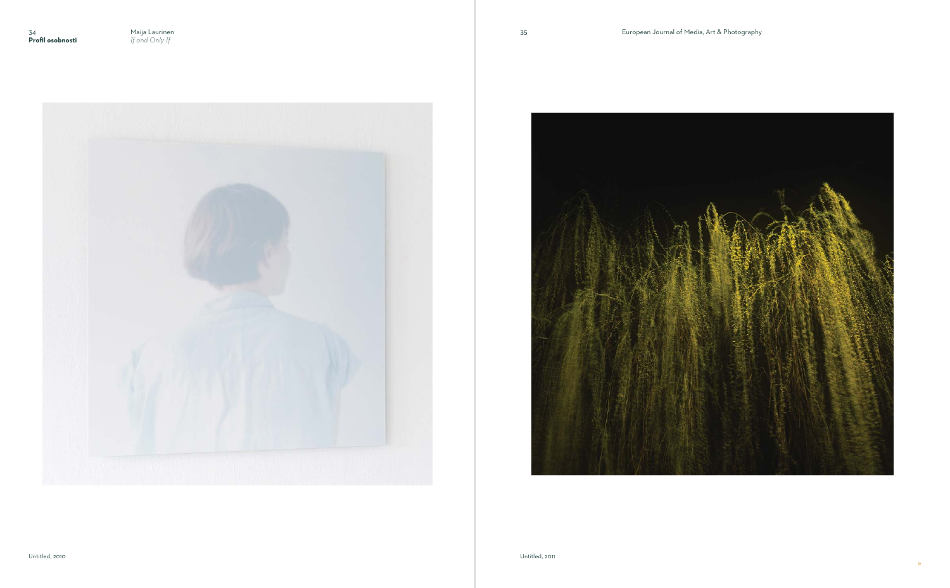

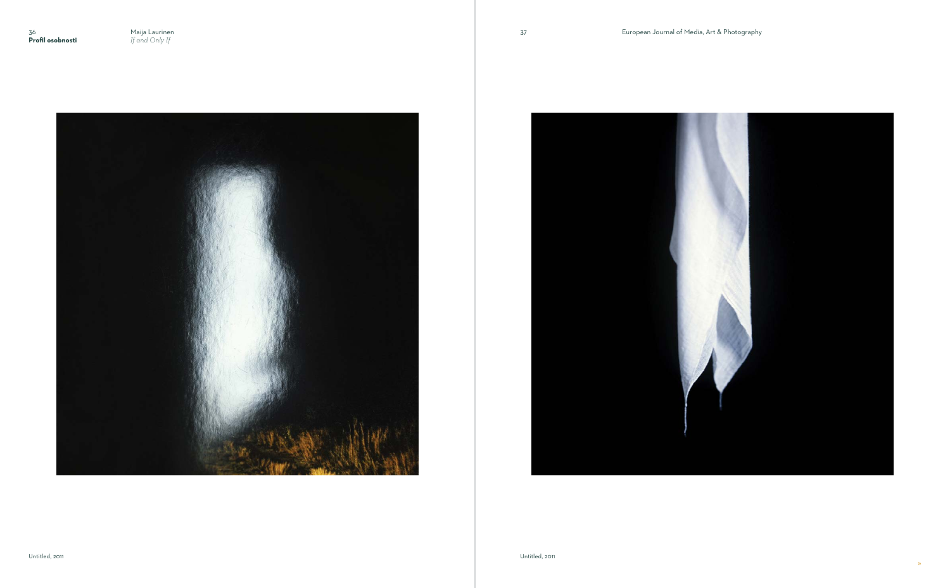

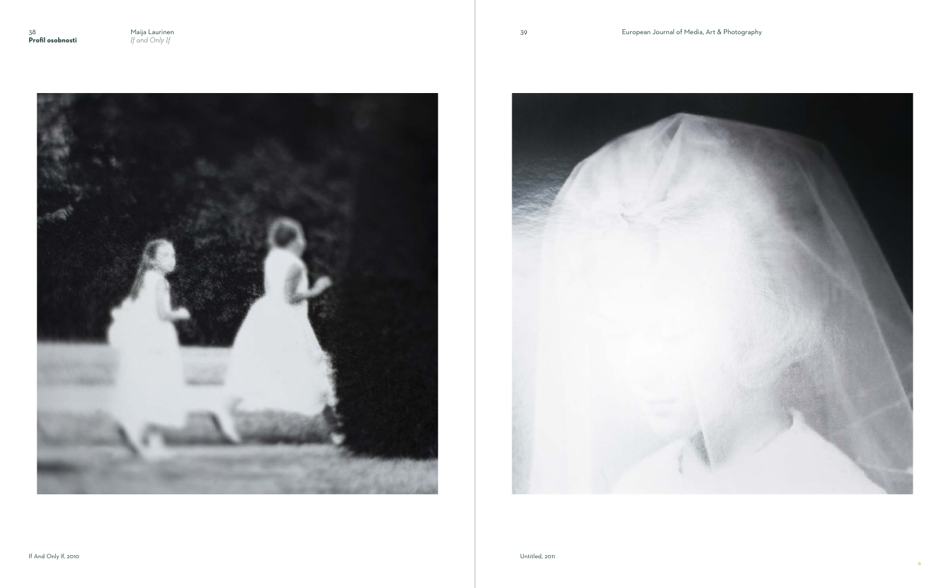

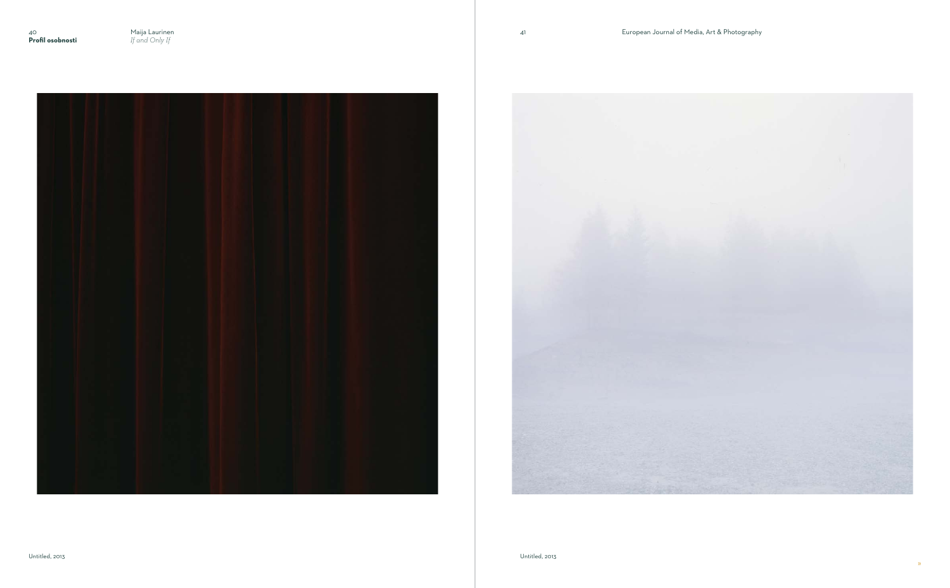

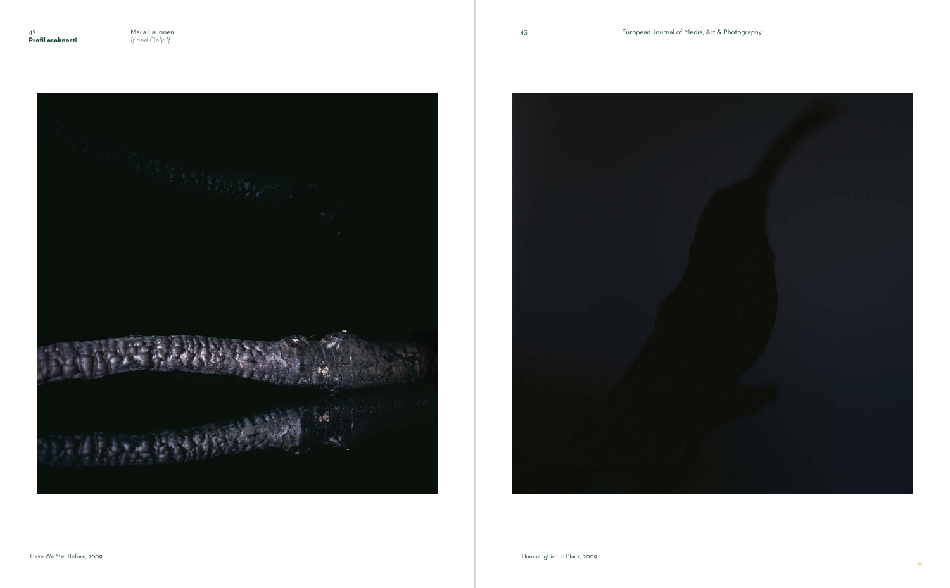

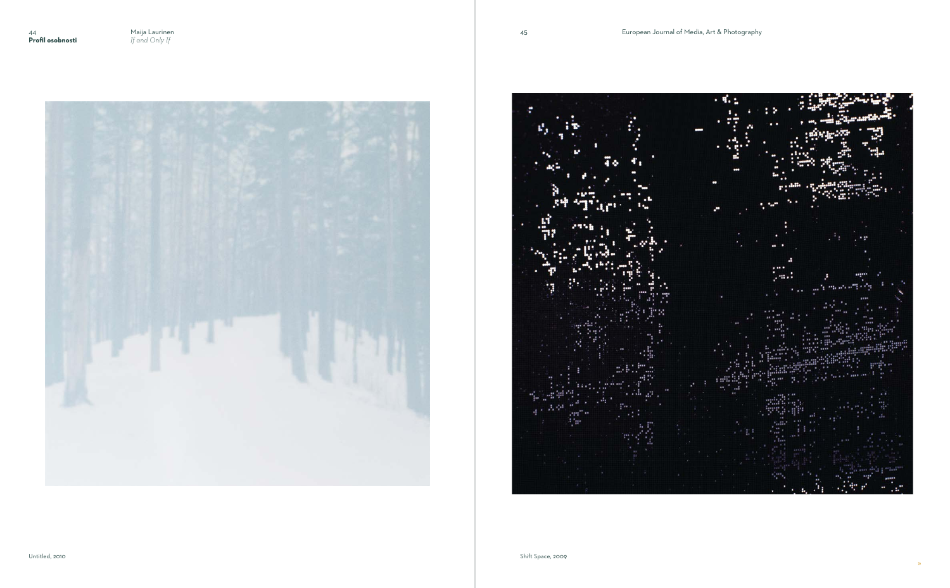»





 $-9.5$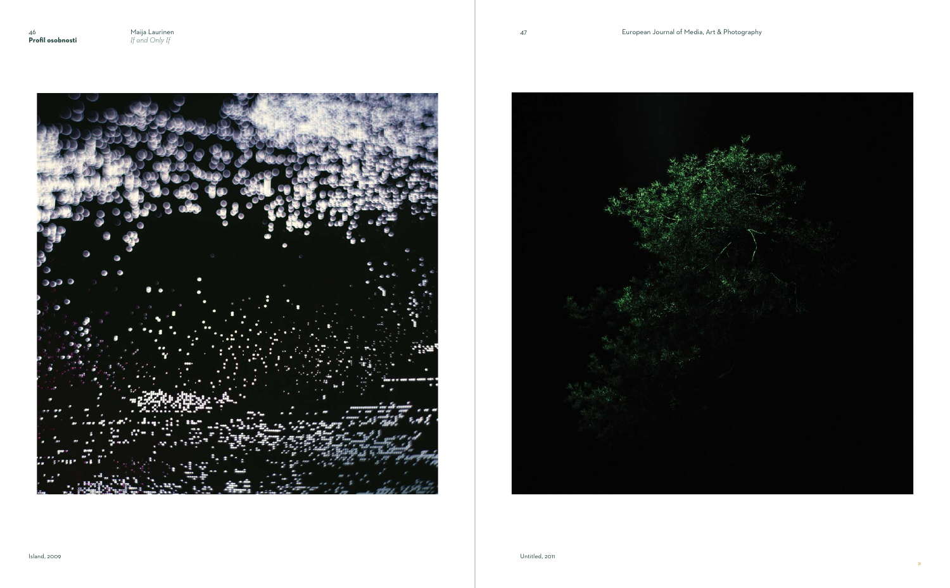46 Maija Laurinen<br>**Profil osobnosti** Fand Only If



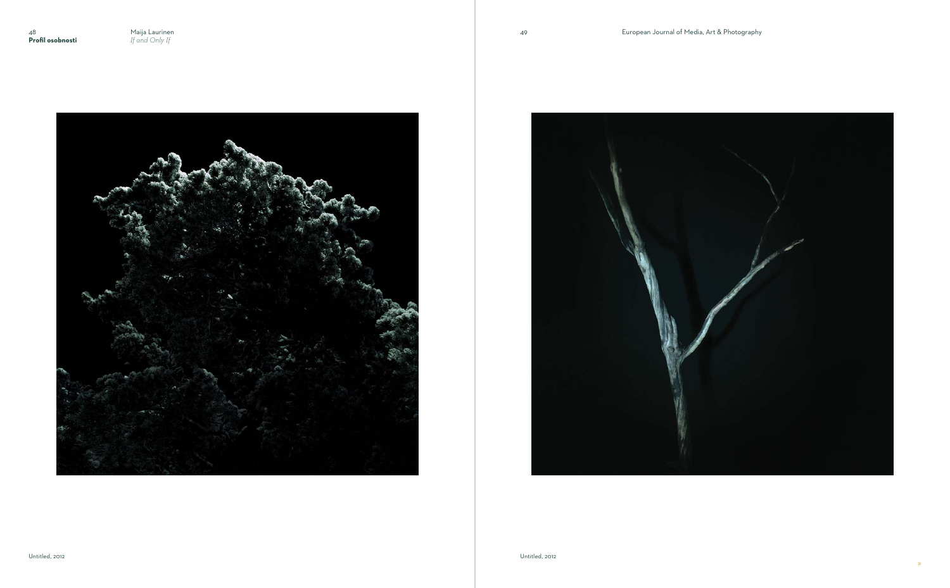